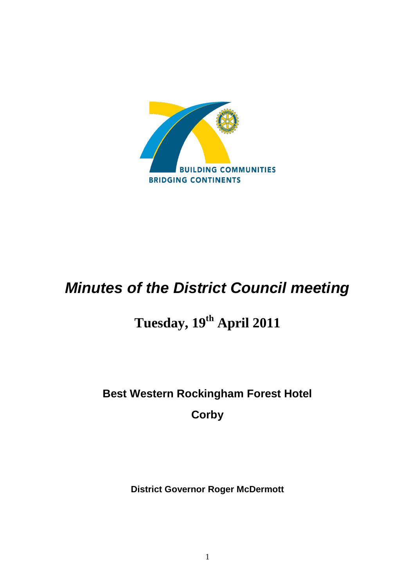

# *Minutes of the District Council meeting*

# **Tuesday, 19th April 2011**

# **Best Western Rockingham Forest Hotel Corby**

**District Governor Roger McDermott**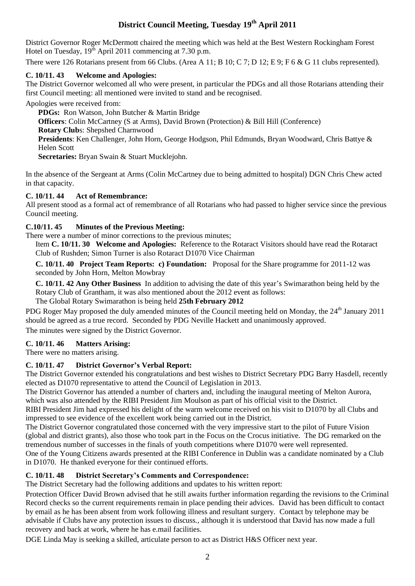# **District Council Meeting, Tuesday 19th April 2011**

District Governor Roger McDermott chaired the meeting which was held at the Best Western Rockingham Forest Hotel on Tuesday,  $19^{th}$  April 2011 commencing at 7.30 p.m.

There were 126 Rotarians present from 66 Clubs. (Area A 11; B 10; C 7; D 12; E 9; F 6 & G 11 clubs represented).

# **C. 10/11. 43 Welcome and Apologies:**

The District Governor welcomed all who were present, in particular the PDGs and all those Rotarians attending their first Council meeting: all mentioned were invited to stand and be recognised.

Apologies were received from:

**PDGs:** Ron Watson, John Butcher & Martin Bridge **Officers**: Colin McCartney (S at Arms), David Brown (Protection) & Bill Hill (Conference) **Rotary Club**s: Shepshed Charnwood **Presidents**: Ken Challenger, John Horn, George Hodgson, Phil Edmunds, Bryan Woodward, Chris Battye & Helen Scott **Secretaries:** Bryan Swain & Stuart Mucklejohn.

In the absence of the Sergeant at Arms (Colin McCartney due to being admitted to hospital) DGN Chris Chew acted in that capacity.

# **C. 10/11. 44 Act of Remembrance:**

All present stood as a formal act of remembrance of all Rotarians who had passed to higher service since the previous Council meeting.

# **C.10/11. 45 Minutes of the Previous Meeting:**

There were a number of minor corrections to the previous minutes;

Item **C. 10/11. 30 Welcome and Apologies:** Reference to the Rotaract Visitors should have read the Rotaract Club of Rushden; Simon Turner is also Rotaract D1070 Vice Chairman

**C. 10/11. 40 Project Team Reports: c) Foundation:** Proposal for the Share programme for 2011-12 was seconded by John Horn, Melton Mowbray

**C. 10/11. 42 Any Other Business** In addition to advising the date of this year's Swimarathon being held by the Rotary Club of Grantham, it was also mentioned about the 2012 event as follows:

The Global Rotary Swimarathon is being held **25th February 2012**

PDG Roger May proposed the duly amended minutes of the Council meeting held on Monday, the 24<sup>th</sup> January 2011 should be agreed as a true record. Seconded by PDG Neville Hackett and unanimously approved. The minutes were signed by the District Governor.

# **C. 10/11. 46 Matters Arising:**

There were no matters arising.

# **C. 10/11. 47 District Governor's Verbal Report:**

The District Governor extended his congratulations and best wishes to District Secretary PDG Barry Hasdell, recently elected as D1070 representative to attend the Council of Legislation in 2013.

The District Governor has attended a number of charters and, including the inaugural meeting of Melton Aurora, which was also attended by the RIBI President Jim Moulson as part of his official visit to the District.

RIBI President Jim had expressed his delight of the warm welcome received on his visit to D1070 by all Clubs and impressed to see evidence of the excellent work being carried out in the District.

The District Governor congratulated those concerned with the very impressive start to the pilot of Future Vision (global and district grants), also those who took part in the Focus on the Crocus initiative. The DG remarked on the tremendous number of successes in the finals of youth competitions where D1070 were well represented. One of the Young Citizens awards presented at the RIBI Conference in Dublin was a candidate nominated by a Club in D1070. He thanked everyone for their continued efforts.

# **C. 10/11. 48 District Secretary's Comments and Correspondence:**

The District Secretary had the following additions and updates to his written report:

Protection Officer David Brown advised that he still awaits further information regarding the revisions to the Criminal Record checks so the current requirements remain in place pending their advices. David has been difficult to contact by email as he has been absent from work following illness and resultant surgery. Contact by telephone may be advisable if Clubs have any protection issues to discuss., although it is understood that David has now made a full recovery and back at work, where he has e.mail facilities.

DGE Linda May is seeking a skilled, articulate person to act as District H&S Officer next year.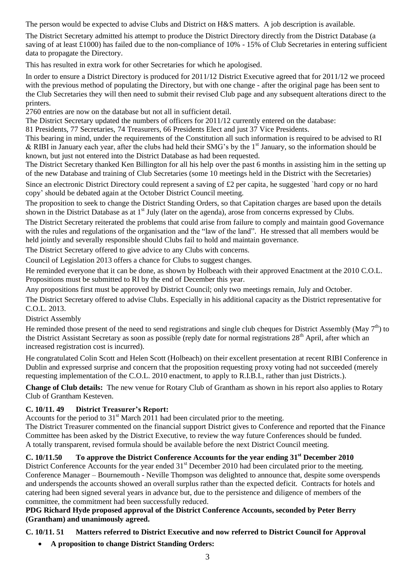The person would be expected to advise Clubs and District on H&S matters. A job description is available.

The District Secretary admitted his attempt to produce the District Directory directly from the District Database (a saving of at least £1000) has failed due to the non-compliance of 10% - 15% of Club Secretaries in entering sufficient data to propagate the Directory.

This has resulted in extra work for other Secretaries for which he apologised.

In order to ensure a District Directory is produced for 2011/12 District Executive agreed that for 2011/12 we proceed with the previous method of populating the Directory, but with one change - after the original page has been sent to the Club Secretaries they will then need to submit their revised Club page and any subsequent alterations direct to the printers.

2760 entries are now on the database but not all in sufficient detail.

The District Secretary updated the numbers of officers for 2011/12 currently entered on the database:

81 Presidents, 77 Secretaries, 74 Treasurers, 66 Presidents Elect and just 37 Vice Presidents.

This bearing in mind, under the requirements of the Constitution all such information is required to be advised to RI & RIBI in January each year, after the clubs had held their SMG's by the  $1<sup>st</sup>$  January, so the information should be known, but just not entered into the District Database as had been requested.

The District Secretary thanked Ken Billington for all his help over the past 6 months in assisting him in the setting up of the new Database and training of Club Secretaries (some 10 meetings held in the District with the Secretaries)

Since an electronic District Directory could represent a saving of £2 per capita, he suggested `hard copy or no hard copy' should be debated again at the October District Council meeting.

The proposition to seek to change the District Standing Orders, so that Capitation charges are based upon the details shown in the District Database as at 1<sup>st</sup> July (later on the agenda), arose from concerns expressed by Clubs.

The District Secretary reiterated the problems that could arise from failure to comply and maintain good Governance with the rules and regulations of the organisation and the "law of the land". He stressed that all members would be held jointly and severally responsible should Clubs fail to hold and maintain governance.

The District Secretary offered to give advice to any Clubs with concerns.

Council of Legislation 2013 offers a chance for Clubs to suggest changes.

He reminded everyone that it can be done, as shown by Holbeach with their approved Enactment at the 2010 C.O.L. Propositions must be submitted to RI by the end of December this year.

Any propositions first must be approved by District Council; only two meetings remain, July and October.

The District Secretary offered to advise Clubs. Especially in his additional capacity as the District representative for C.O.L. 2013.

District Assembly

He reminded those present of the need to send registrations and single club cheques for District Assembly (May  $7<sup>th</sup>$ ) to the District Assistant Secretary as soon as possible (reply date for normal registrations 28<sup>th</sup> April, after which an increased registration cost is incurred).

He congratulated Colin Scott and Helen Scott (Holbeach) on their excellent presentation at recent RIBI Conference in Dublin and expressed surprise and concern that the proposition requesting proxy voting had not succeeded (merely requesting implementation of the C.O.L. 2010 enactment, to apply to R.I.B.I., rather than just Districts.).

**Change of Club details:** The new venue for Rotary Club of Grantham as shown in his report also applies to Rotary Club of Grantham Kesteven.

# **C. 10/11. 49 District Treasurer's Report:**

Accounts for the period to  $31<sup>st</sup>$  March 2011 had been circulated prior to the meeting.

The District Treasurer commented on the financial support District gives to Conference and reported that the Finance Committee has been asked by the District Executive, to review the way future Conferences should be funded. A totally transparent, revised formula should be available before the next District Council meeting.

# **C. 10/11.50 To approve the District Conference Accounts for the year ending 31st December 2010**

District Conference Accounts for the year ended 31<sup>st</sup> December 2010 had been circulated prior to the meeting. Conference Manager – Bournemouth - Neville Thompson was delighted to announce that, despite some overspends and underspends the accounts showed an overall surplus rather than the expected deficit. Contracts for hotels and catering had been signed several years in advance but, due to the persistence and diligence of members of the committee, the commitment had been successfully reduced.

# **PDG Richard Hyde proposed approval of the District Conference Accounts, seconded by Peter Berry (Grantham) and unanimously agreed.**

# **C. 10/11. 51 Matters referred to District Executive and now referred to District Council for Approval**

**A proposition to change District Standing Orders:**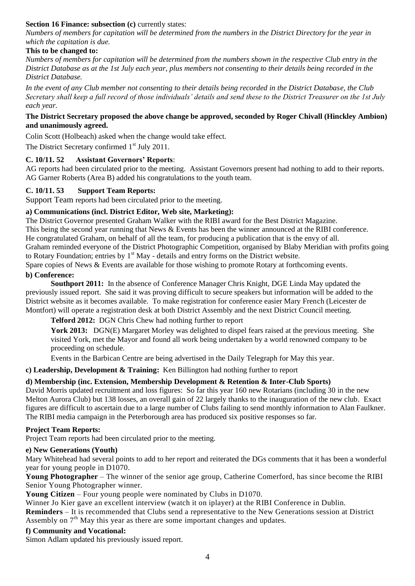#### **Section 16 Finance: subsection (c) currently states:**

*Numbers of members for capitation will be determined from the numbers in the District Directory for the year in which the capitation is due.* 

#### **This to be changed to:**

*Numbers of members for capitation will be determined from the numbers shown in the respective Club entry in the District Database as at the 1st July each year, plus members not consenting to their details being recorded in the District Database.* 

*In the event of any Club member not consenting to their details being recorded in the District Database, the Club Secretary shall keep a full record of those individuals' details and send these to the District Treasurer on the 1st July each year.*

#### **The District Secretary proposed the above change be approved, seconded by Roger Chivall (Hinckley Ambion) and unanimously agreed.**

Colin Scott (Holbeach) asked when the change would take effect.

The District Secretary confirmed 1<sup>st</sup> July 2011.

#### **C. 10/11. 52 Assistant Governors' Reports**:

AG reports had been circulated prior to the meeting. Assistant Governors present had nothing to add to their reports. AG Garner Roberts (Area B) added his congratulations to the youth team.

#### **C. 10/11. 53 Support Team Reports:**

Support Team reports had been circulated prior to the meeting.

#### **a) Communications (incl. District Editor, Web site, Marketing):**

The District Governor presented Graham Walker with the RIBI award for the Best District Magazine. This being the second year running that News & Events has been the winner announced at the RIBI conference. He congratulated Graham, on behalf of all the team, for producing a publication that is the envy of all. Graham reminded everyone of the District Photographic Competition, organised by Blaby Meridian with profits going to Rotary Foundation; entries by  $1<sup>st</sup>$  May - details and entry forms on the District website.

Spare copies of News & Events are available for those wishing to promote Rotary at forthcoming events.

#### **b) Conference:**

**Southport 2011:** In the absence of Conference Manager Chris Knight, DGE Linda May updated the previously issued report. She said it was proving difficult to secure speakers but information will be added to the District website as it becomes available. To make registration for conference easier Mary French (Leicester de Montfort) will operate a registration desk at both District Assembly and the next District Council meeting.

**Telford 2012:** DGN Chris Chew had nothing further to report

York 2013: DGN(E) Margaret Morley was delighted to dispel fears raised at the previous meeting. She visited York, met the Mayor and found all work being undertaken by a world renowned company to be proceeding on schedule.

Events in the Barbican Centre are being advertised in the Daily Telegraph for May this year.

**c) Leadership, Development & Training:** Ken Billington had nothing further to report

#### **d) Membership (inc. Extension, Membership Development & Retention & Inter-Club Sports)**

David Morris updated recruitment and loss figures: So far this year 160 new Rotarians (including 30 in the new Melton Aurora Club) but 138 losses, an overall gain of 22 largely thanks to the inauguration of the new club. Exact figures are difficult to ascertain due to a large number of Clubs failing to send monthly information to Alan Faulkner. The RIBI media campaign in the Peterborough area has produced six positive responses so far.

#### **Project Team Reports:**

Project Team reports had been circulated prior to the meeting.

#### **e) New Generations (Youth)**

Mary Whitehead had several points to add to her report and reiterated the DGs comments that it has been a wonderful year for young people in D1070.

**Young Photographer** – The winner of the senior age group, Catherine Comerford, has since become the RIBI Senior Young Photographer winner.

**Young Citizen** – Four young people were nominated by Clubs in D1070.

Winner Jo Kier gave an excellent interview (watch it on iplayer) at the RIBI Conference in Dublin.

**Reminders** – It is recommended that Clubs send a representative to the New Generations session at District Assembly on  $7<sup>th</sup>$  May this year as there are some important changes and updates.

#### **f) Community and Vocational:**

Simon Adlam updated his previously issued report.